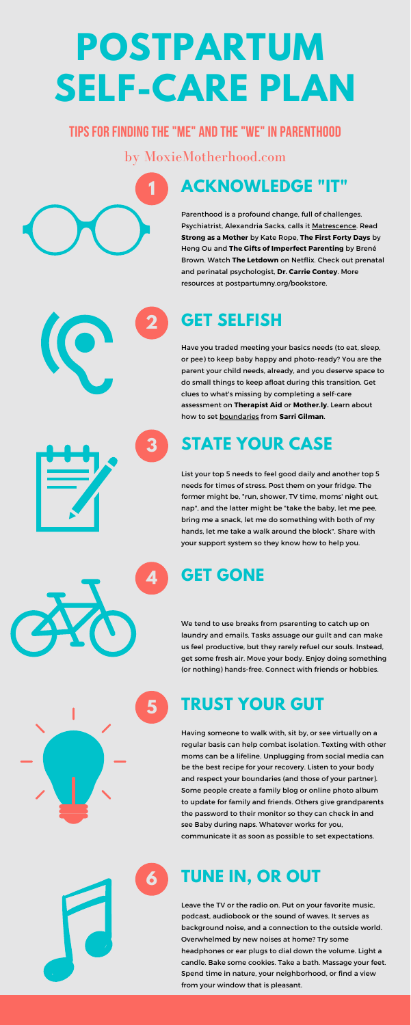#### **ACKNOWLEDGE "IT"**

Parenthood is a profound change, full of challenges. Psychiatrist, Alexandria Sacks, calls it [Matrescence](http://alexandrasacksmd.com/). Read **Strong as a Mother** by Kate Rope, **The First Forty Days** by Heng Ou and **The Gifts of Imperfect Parenting** by Brené Brown. Watch **The Letdown** on Netflix. Check out prenatal and perinatal psychologist, **Dr. Carrie Contey**. More resources at postpartumny.org/bookstore.

**1**

#### **2 GET SELFISH**

Have you traded meeting your basics needs (to eat, sleep, or pee) to keep baby happy and photo-ready? You are the parent your child needs, already, and you deserve space to do small things to keep afloat during this transition. Get clues to what's missing by completing a self-care assessment on **Therapist Aid** or **Mother.ly.** Learn about how to set [boundaries](https://sarri-gilman.teachable.com/courses) from **Sarri Gilman**.

### **3 STATE YOUR CASE**

List your top 5 needs to feel good daily and another top 5 needs for times of stress. Post them on your fridge. The former might be, "run, shower, TV time, moms' night out, nap", and the latter might be "take the baby, let me pee, bring me a snack, let me do something with both of my hands, let me take a walk around the block". Share with your support system so they know how to help you.

**4 GET GONE**



We tend to use breaks from psarenting to catch up on laundry and emails. Tasks assuage our guilt and can make us feel productive, but they rarely refuel our souls. Instead, get some fresh air. Move your body. Enjoy doing something (or nothing) hands-free. Connect with friends or hobbies.

#### **5 TRUST YOUR GUT**

Having someone to walk with, sit by, or see virtually on a regular basis can help combat isolation. Texting with other moms can be a lifeline. Unplugging from social media can be the best recipe for your recovery. Listen to your body and respect your boundaries (and those of your partner). Some people create a family blog or online photo album to update for family and friends. Others give grandparents the password to their monitor so they can check in and see Baby during naps. Whatever works for you, communicate it as soon as possible to set expectations.

#### **6 TUNE IN, OR OUT**

Leave the TV or the radio on. Put on your favorite music, podcast, audiobook or the sound of waves. It serves as background noise, and a connection to the outside world. Overwhelmed by new noises at home? Try some headphones or ear plugs to dial down the volume. Light a candle. Bake some cookies. Take a bath. Massage your feet. Spend time in nature, your neighborhood, or find a view from your window that is pleasant.

# **POSTPARTUM SELF-CARE PLAN**

#### **Tipsfor Findingthe"me" and the"we" in parenthood**

by MoxieMotherhood.com